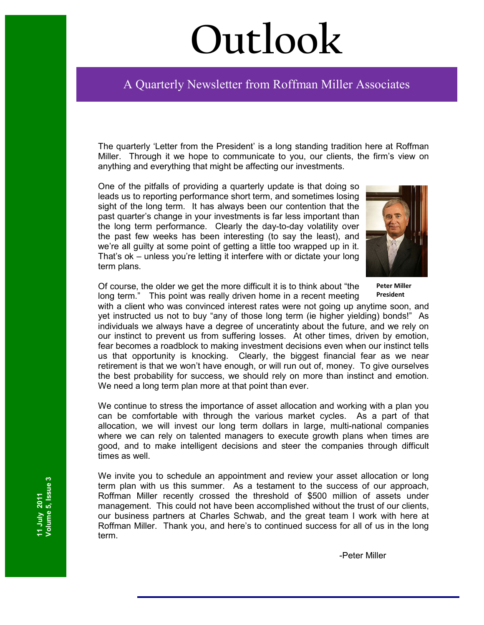# **Outlook**

## Ī A Quarterly Newsletter from Roffman Miller Associates

The quarterly 'Letter from the President' is a long standing tradition here at Roffman Miller. Through it we hope to communicate to you, our clients, the firm's view on anything and everything that might be affecting our investments.

One of the pitfalls of providing a quarterly update is that doing so leads us to reporting performance short term, and sometimes losing sight of the long term. It has always been our contention that the past quarter's change in your investments is far less important than the long term performance. Clearly the day-to-day volatility over the past few weeks has been interesting (to say the least), and we're all guilty at some point of getting a little too wrapped up in it. That's ok – unless you're letting it interfere with or dictate your long term plans.



Of course, the older we get the more difficult it is to think about "the long term." This point was really driven home in a recent meeting **Peter Miller President**

with a client who was convinced interest rates were not going up anytime soon, and yet instructed us not to buy "any of those long term (ie higher yielding) bonds!" As individuals we always have a degree of unceratinty about the future, and we rely on our instinct to prevent us from suffering losses. At other times, driven by emotion, fear becomes a roadblock to making investment decisions even when our instinct tells us that opportunity is knocking. Clearly, the biggest financial fear as we near retirement is that we won't have enough, or will run out of, money. To give ourselves the best probability for success, we should rely on more than instinct and emotion. We need a long term plan more at that point than ever.

We continue to stress the importance of asset allocation and working with a plan you can be comfortable with through the various market cycles. As a part of that allocation, we will invest our long term dollars in large, multi-national companies where we can rely on talented managers to execute growth plans when times are good, and to make intelligent decisions and steer the companies through difficult times as well.

We invite you to schedule an appointment and review your asset allocation or long term plan with us this summer. As a testament to the success of our approach, Roffman Miller recently crossed the threshold of \$500 million of assets under management. This could not have been accomplished without the trust of our clients, our business partners at Charles Schwab, and the great team I work with here at Roffman Miller. Thank you, and here's to continued success for all of us in the long term.

-Peter Miller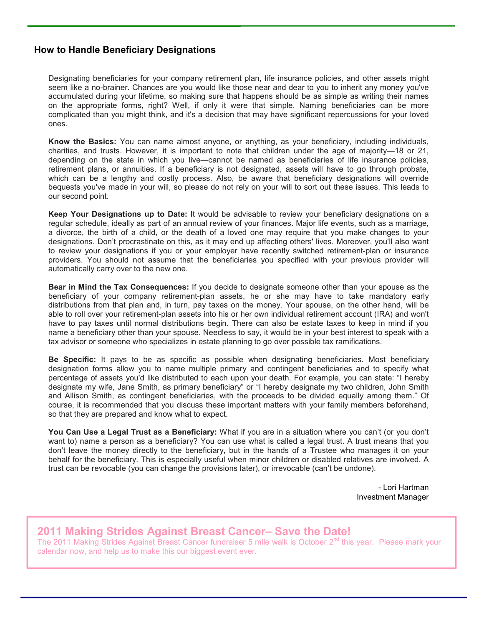#### **How to Handle Beneficiary Designations**

Designating beneficiaries for your company retirement plan, life insurance policies, and other assets might seem like a no-brainer. Chances are you would like those near and dear to you to inherit any money you've accumulated during your lifetime, so making sure that happens should be as simple as writing their names on the appropriate forms, right? Well, if only it were that simple. Naming beneficiaries can be more complicated than you might think, and it's a decision that may have significant repercussions for your loved ones.

**Know the Basics:** You can name almost anyone, or anything, as your beneficiary, including individuals, charities, and trusts. However, it is important to note that children under the age of majority—18 or 21, depending on the state in which you live—cannot be named as beneficiaries of life insurance policies, retirement plans, or annuities. If a beneficiary is not designated, assets will have to go through probate, which can be a lengthy and costly process. Also, be aware that beneficiary designations will override bequests you've made in your will, so please do not rely on your will to sort out these issues. This leads to our second point.

**Keep Your Designations up to Date:** It would be advisable to review your beneficiary designations on a regular schedule, ideally as part of an annual review of your finances. Major life events, such as a marriage, a divorce, the birth of a child, or the death of a loved one may require that you make changes to your designations. Don't procrastinate on this, as it may end up affecting others' lives. Moreover, you'll also want to review your designations if you or your employer have recently switched retirement-plan or insurance providers. You should not assume that the beneficiaries you specified with your previous provider will automatically carry over to the new one.

**Bear in Mind the Tax Consequences:** If you decide to designate someone other than your spouse as the beneficiary of your company retirement-plan assets, he or she may have to take mandatory early distributions from that plan and, in turn, pay taxes on the money. Your spouse, on the other hand, will be able to roll over your retirement-plan assets into his or her own individual retirement account (IRA) and won't have to pay taxes until normal distributions begin. There can also be estate taxes to keep in mind if you name a beneficiary other than your spouse. Needless to say, it would be in your best interest to speak with a tax advisor or someone who specializes in estate planning to go over possible tax ramifications.

**Be Specific:** It pays to be as specific as possible when designating beneficiaries. Most beneficiary designation forms allow you to name multiple primary and contingent beneficiaries and to specify what percentage of assets you'd like distributed to each upon your death. For example, you can state: "I hereby designate my wife, Jane Smith, as primary beneficiary" or "I hereby designate my two children, John Smith and Allison Smith, as contingent beneficiaries, with the proceeds to be divided equally among them." Of course, it is recommended that you discuss these important matters with your family members beforehand, so that they are prepared and know what to expect.

**You Can Use a Legal Trust as a Beneficiary:** What if you are in a situation where you can't (or you don't want to) name a person as a beneficiary? You can use what is called a legal trust. A trust means that you don't leave the money directly to the beneficiary, but in the hands of a Trustee who manages it on your behalf for the beneficiary. This is especially useful when minor children or disabled relatives are involved. A trust can be revocable (you can change the provisions later), or irrevocable (can't be undone).

> - Lori Hartman Investment Manager

#### **2011 Making Strides Against Breast Cancer– Save the Date!**

The 2011 Making Strides Against Breast Cancer fundraiser 5 mile walk is October 2<sup>nd</sup> this year. Please mark your calendar now, and help us to make this our biggest event ever.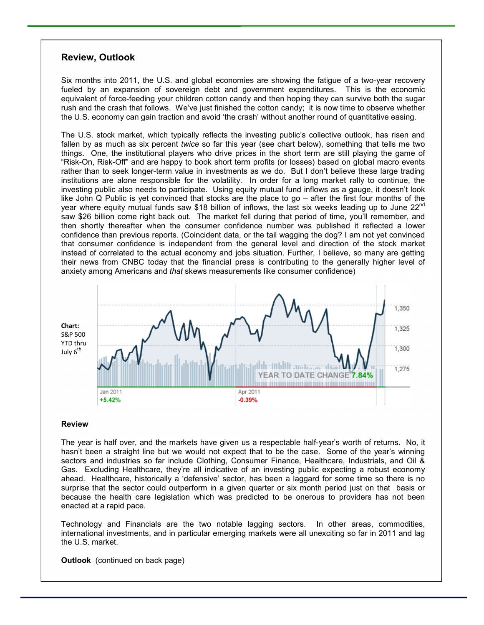#### **Review, Outlook**

Six months into 2011, the U.S. and global economies are showing the fatigue of a two-year recovery fueled by an expansion of sovereign debt and government expenditures. This is the economic equivalent of force-feeding your children cotton candy and then hoping they can survive both the sugar rush and the crash that follows. We've just finished the cotton candy; it is now time to observe whether the U.S. economy can gain traction and avoid 'the crash' without another round of quantitative easing.

The U.S. stock market, which typically reflects the investing public's collective outlook, has risen and fallen by as much as six percent *twice* so far this year (see chart below), something that tells me two things. One, the institutional players who drive prices in the short term are still playing the game of "Risk-On, Risk-Off" and are happy to book short term profits (or losses) based on global macro events rather than to seek longer-term value in investments as we do. But I don't believe these large trading institutions are alone responsible for the volatility. In order for a long market rally to continue, the investing public also needs to participate. Using equity mutual fund inflows as a gauge, it doesn't look like John Q Public is yet convinced that stocks are the place to go – after the first four months of the year where equity mutual funds saw \$18 billion of inflows, the last six weeks leading up to June 22<sup>nd</sup> saw \$26 billion come right back out. The market fell during that period of time, you'll remember, and then shortly thereafter when the consumer confidence number was published it reflected a lower confidence than previous reports. (Coincident data, or the tail wagging the dog? I am not yet convinced that consumer confidence is independent from the general level and direction of the stock market instead of correlated to the actual economy and jobs situation. Further, I believe, so many are getting their news from CNBC today that the financial press is contributing to the generally higher level of anxiety among Americans and *that* skews measurements like consumer confidence)



#### **Review**

The year is half over, and the markets have given us a respectable half-year's worth of returns. No, it hasn't been a straight line but we would not expect that to be the case. Some of the year's winning sectors and industries so far include Clothing, Consumer Finance, Healthcare, Industrials, and Oil & Gas. Excluding Healthcare, they're all indicative of an investing public expecting a robust economy ahead. Healthcare, historically a 'defensive' sector, has been a laggard for some time so there is no surprise that the sector could outperform in a given quarter or six month period just on that basis or because the health care legislation which was predicted to be onerous to providers has not been enacted at a rapid pace.

Technology and Financials are the two notable lagging sectors. In other areas, commodities, international investments, and in particular emerging markets were all unexciting so far in 2011 and lag the U.S. market.

**Outlook** (continued on back page)